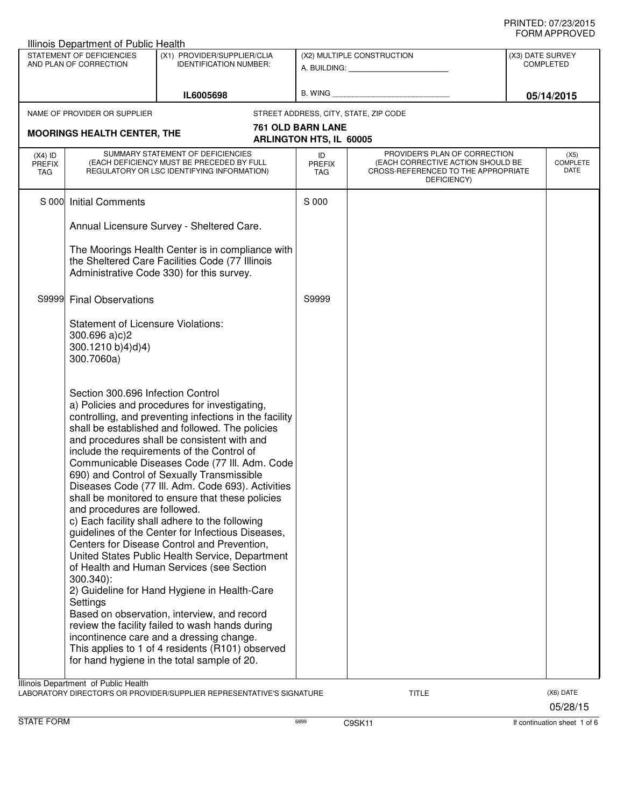|                                   | STATEMENT OF DEFICIENCIES<br>AND PLAN OF CORRECTION                                                                           | (X1) PROVIDER/SUPPLIER/CLIA<br><b>IDENTIFICATION NUMBER:</b>                                                                                                                                                                                                                                                                                                                                                                                                                                                                                                                                                                                                                                                                                                                                                                                                                                                                                                                                                           |                                                            | (X2) MULTIPLE CONSTRUCTION<br>A. BUILDING: A. BUILDING:                                                                  | (X3) DATE SURVEY<br><b>COMPLETED</b> |
|-----------------------------------|-------------------------------------------------------------------------------------------------------------------------------|------------------------------------------------------------------------------------------------------------------------------------------------------------------------------------------------------------------------------------------------------------------------------------------------------------------------------------------------------------------------------------------------------------------------------------------------------------------------------------------------------------------------------------------------------------------------------------------------------------------------------------------------------------------------------------------------------------------------------------------------------------------------------------------------------------------------------------------------------------------------------------------------------------------------------------------------------------------------------------------------------------------------|------------------------------------------------------------|--------------------------------------------------------------------------------------------------------------------------|--------------------------------------|
|                                   |                                                                                                                               | IL6005698                                                                                                                                                                                                                                                                                                                                                                                                                                                                                                                                                                                                                                                                                                                                                                                                                                                                                                                                                                                                              | B. WING                                                    |                                                                                                                          | 05/14/2015                           |
|                                   | NAME OF PROVIDER OR SUPPLIER<br><b>MOORINGS HEALTH CENTER, THE</b>                                                            |                                                                                                                                                                                                                                                                                                                                                                                                                                                                                                                                                                                                                                                                                                                                                                                                                                                                                                                                                                                                                        | <b>761 OLD BARN LANE</b><br><b>ARLINGTON HTS, IL 60005</b> | STREET ADDRESS, CITY, STATE, ZIP CODE                                                                                    |                                      |
| $(X4)$ ID<br><b>PREFIX</b><br>TAG |                                                                                                                               | SUMMARY STATEMENT OF DEFICIENCIES<br>(EACH DEFICIENCY MUST BE PRECEDED BY FULL<br>REGULATORY OR LSC IDENTIFYING INFORMATION)                                                                                                                                                                                                                                                                                                                                                                                                                                                                                                                                                                                                                                                                                                                                                                                                                                                                                           | ID<br><b>PREFIX</b><br><b>TAG</b>                          | PROVIDER'S PLAN OF CORRECTION<br>(EACH CORRECTIVE ACTION SHOULD BE<br>CROSS-REFERENCED TO THE APPROPRIATE<br>DEFICIENCY) | (X5)<br><b>COMPLETE</b><br>DATE      |
|                                   | S 000 Initial Comments                                                                                                        | Annual Licensure Survey - Sheltered Care.<br>The Moorings Health Center is in compliance with<br>the Sheltered Care Facilities Code (77 Illinois<br>Administrative Code 330) for this survey.                                                                                                                                                                                                                                                                                                                                                                                                                                                                                                                                                                                                                                                                                                                                                                                                                          | S 000                                                      |                                                                                                                          |                                      |
| S9999                             | <b>Final Observations</b><br><b>Statement of Licensure Violations:</b><br>$300.696 a)c$ )2<br>300.1210 b)4)d)4)<br>300.7060a) |                                                                                                                                                                                                                                                                                                                                                                                                                                                                                                                                                                                                                                                                                                                                                                                                                                                                                                                                                                                                                        | S9999                                                      |                                                                                                                          |                                      |
|                                   | Section 300.696 Infection Control<br>and procedures are followed.<br>300.340):<br>Settings                                    | a) Policies and procedures for investigating,<br>controlling, and preventing infections in the facility<br>shall be established and followed. The policies<br>and procedures shall be consistent with and<br>include the requirements of the Control of<br>Communicable Diseases Code (77 III. Adm. Code<br>690) and Control of Sexually Transmissible<br>Diseases Code (77 III. Adm. Code 693). Activities<br>shall be monitored to ensure that these policies<br>c) Each facility shall adhere to the following<br>guidelines of the Center for Infectious Diseases,<br>Centers for Disease Control and Prevention,<br>United States Public Health Service, Department<br>of Health and Human Services (see Section<br>2) Guideline for Hand Hygiene in Health-Care<br>Based on observation, interview, and record<br>review the facility failed to wash hands during<br>incontinence care and a dressing change.<br>This applies to 1 of 4 residents (R101) observed<br>for hand hygiene in the total sample of 20. |                                                            |                                                                                                                          |                                      |
|                                   | Illinois Department of Public Health                                                                                          | LABORATORY DIRECTOR'S OR PROVIDER/SUPPLIER REPRESENTATIVE'S SIGNATURE                                                                                                                                                                                                                                                                                                                                                                                                                                                                                                                                                                                                                                                                                                                                                                                                                                                                                                                                                  |                                                            | <b>TITLE</b>                                                                                                             | (X6) DATE<br>05/28/15                |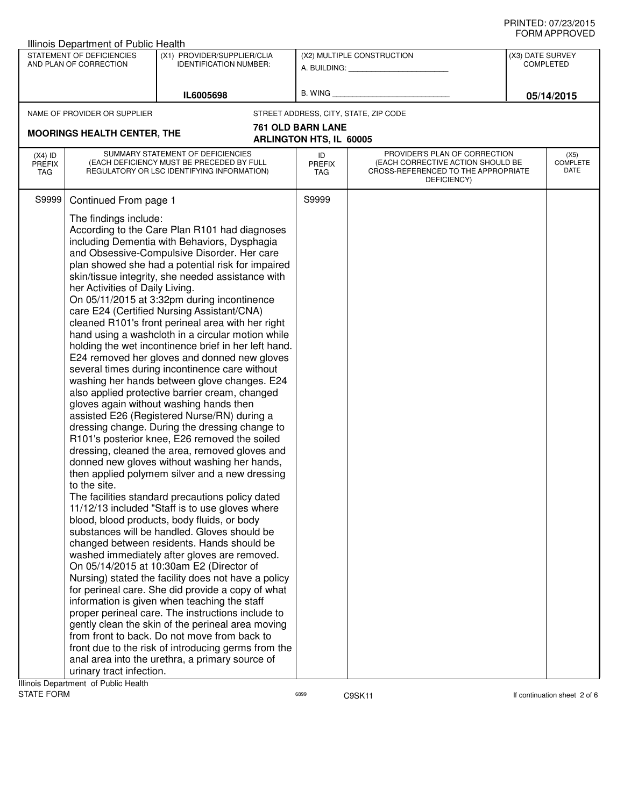| STATEMENT OF DEFICIENCIES<br>(X1) PROVIDER/SUPPLIER/CLIA<br>(X2) MULTIPLE CONSTRUCTION<br>(X3) DATE SURVEY<br>AND PLAN OF CORRECTION<br><b>COMPLETED</b><br><b>IDENTIFICATION NUMBER:</b><br>A. BUILDING: A. BUILDING:<br>B. WING<br>IL6005698<br>05/14/2015<br>NAME OF PROVIDER OR SUPPLIER<br>STREET ADDRESS, CITY, STATE, ZIP CODE<br>761 OLD BARN LANE<br><b>MOORINGS HEALTH CENTER, THE</b><br><b>ARLINGTON HTS, IL 60005</b><br>SUMMARY STATEMENT OF DEFICIENCIES<br>PROVIDER'S PLAN OF CORRECTION<br>$(X4)$ ID<br>ID<br>(X5)<br><b>COMPLETE</b><br>(EACH DEFICIENCY MUST BE PRECEDED BY FULL<br>(EACH CORRECTIVE ACTION SHOULD BE<br><b>PREFIX</b><br><b>PREFIX</b><br>DATE<br>REGULATORY OR LSC IDENTIFYING INFORMATION)<br>CROSS-REFERENCED TO THE APPROPRIATE<br><b>TAG</b><br>TAG<br>DEFICIENCY)<br>S9999<br>S9999<br>Continued From page 1<br>The findings include:<br>According to the Care Plan R101 had diagnoses<br>including Dementia with Behaviors, Dysphagia<br>and Obsessive-Compulsive Disorder. Her care<br>plan showed she had a potential risk for impaired<br>skin/tissue integrity, she needed assistance with<br>her Activities of Daily Living.<br>On 05/11/2015 at 3:32pm during incontinence<br>care E24 (Certified Nursing Assistant/CNA)<br>cleaned R101's front perineal area with her right<br>hand using a washcloth in a circular motion while<br>holding the wet incontinence brief in her left hand.<br>E24 removed her gloves and donned new gloves<br>several times during incontinence care without<br>washing her hands between glove changes. E24<br>also applied protective barrier cream, changed<br>gloves again without washing hands then<br>assisted E26 (Registered Nurse/RN) during a<br>dressing change. During the dressing change to<br>R101's posterior knee, E26 removed the soiled<br>dressing, cleaned the area, removed gloves and<br>donned new gloves without washing her hands,<br>then applied polymem silver and a new dressing<br>to the site.<br>The facilities standard precautions policy dated<br>11/12/13 included "Staff is to use gloves where<br>blood, blood products, body fluids, or body<br>substances will be handled. Gloves should be<br>changed between residents. Hands should be<br>washed immediately after gloves are removed.<br>On 05/14/2015 at 10:30am E2 (Director of<br>Nursing) stated the facility does not have a policy<br>for perineal care. She did provide a copy of what<br>information is given when teaching the staff<br>proper perineal care. The instructions include to<br>gently clean the skin of the perineal area moving<br>from front to back. Do not move from back to<br>front due to the risk of introducing germs from the<br>anal area into the urethra, a primary source of<br>urinary tract infection. | <b>Illinois Department of Public Health</b> |                                      |  |  |  |  |  |
|------------------------------------------------------------------------------------------------------------------------------------------------------------------------------------------------------------------------------------------------------------------------------------------------------------------------------------------------------------------------------------------------------------------------------------------------------------------------------------------------------------------------------------------------------------------------------------------------------------------------------------------------------------------------------------------------------------------------------------------------------------------------------------------------------------------------------------------------------------------------------------------------------------------------------------------------------------------------------------------------------------------------------------------------------------------------------------------------------------------------------------------------------------------------------------------------------------------------------------------------------------------------------------------------------------------------------------------------------------------------------------------------------------------------------------------------------------------------------------------------------------------------------------------------------------------------------------------------------------------------------------------------------------------------------------------------------------------------------------------------------------------------------------------------------------------------------------------------------------------------------------------------------------------------------------------------------------------------------------------------------------------------------------------------------------------------------------------------------------------------------------------------------------------------------------------------------------------------------------------------------------------------------------------------------------------------------------------------------------------------------------------------------------------------------------------------------------------------------------------------------------------------------------------------------------------------------------------------------------------------------------------------------------------------------------------------------------------------------------------------------------------------------------------------------------------------------|---------------------------------------------|--------------------------------------|--|--|--|--|--|
|                                                                                                                                                                                                                                                                                                                                                                                                                                                                                                                                                                                                                                                                                                                                                                                                                                                                                                                                                                                                                                                                                                                                                                                                                                                                                                                                                                                                                                                                                                                                                                                                                                                                                                                                                                                                                                                                                                                                                                                                                                                                                                                                                                                                                                                                                                                                                                                                                                                                                                                                                                                                                                                                                                                                                                                                                              |                                             |                                      |  |  |  |  |  |
|                                                                                                                                                                                                                                                                                                                                                                                                                                                                                                                                                                                                                                                                                                                                                                                                                                                                                                                                                                                                                                                                                                                                                                                                                                                                                                                                                                                                                                                                                                                                                                                                                                                                                                                                                                                                                                                                                                                                                                                                                                                                                                                                                                                                                                                                                                                                                                                                                                                                                                                                                                                                                                                                                                                                                                                                                              |                                             |                                      |  |  |  |  |  |
|                                                                                                                                                                                                                                                                                                                                                                                                                                                                                                                                                                                                                                                                                                                                                                                                                                                                                                                                                                                                                                                                                                                                                                                                                                                                                                                                                                                                                                                                                                                                                                                                                                                                                                                                                                                                                                                                                                                                                                                                                                                                                                                                                                                                                                                                                                                                                                                                                                                                                                                                                                                                                                                                                                                                                                                                                              |                                             |                                      |  |  |  |  |  |
|                                                                                                                                                                                                                                                                                                                                                                                                                                                                                                                                                                                                                                                                                                                                                                                                                                                                                                                                                                                                                                                                                                                                                                                                                                                                                                                                                                                                                                                                                                                                                                                                                                                                                                                                                                                                                                                                                                                                                                                                                                                                                                                                                                                                                                                                                                                                                                                                                                                                                                                                                                                                                                                                                                                                                                                                                              |                                             |                                      |  |  |  |  |  |
|                                                                                                                                                                                                                                                                                                                                                                                                                                                                                                                                                                                                                                                                                                                                                                                                                                                                                                                                                                                                                                                                                                                                                                                                                                                                                                                                                                                                                                                                                                                                                                                                                                                                                                                                                                                                                                                                                                                                                                                                                                                                                                                                                                                                                                                                                                                                                                                                                                                                                                                                                                                                                                                                                                                                                                                                                              |                                             |                                      |  |  |  |  |  |
|                                                                                                                                                                                                                                                                                                                                                                                                                                                                                                                                                                                                                                                                                                                                                                                                                                                                                                                                                                                                                                                                                                                                                                                                                                                                                                                                                                                                                                                                                                                                                                                                                                                                                                                                                                                                                                                                                                                                                                                                                                                                                                                                                                                                                                                                                                                                                                                                                                                                                                                                                                                                                                                                                                                                                                                                                              |                                             |                                      |  |  |  |  |  |
|                                                                                                                                                                                                                                                                                                                                                                                                                                                                                                                                                                                                                                                                                                                                                                                                                                                                                                                                                                                                                                                                                                                                                                                                                                                                                                                                                                                                                                                                                                                                                                                                                                                                                                                                                                                                                                                                                                                                                                                                                                                                                                                                                                                                                                                                                                                                                                                                                                                                                                                                                                                                                                                                                                                                                                                                                              |                                             | Illinois Department of Public Health |  |  |  |  |  |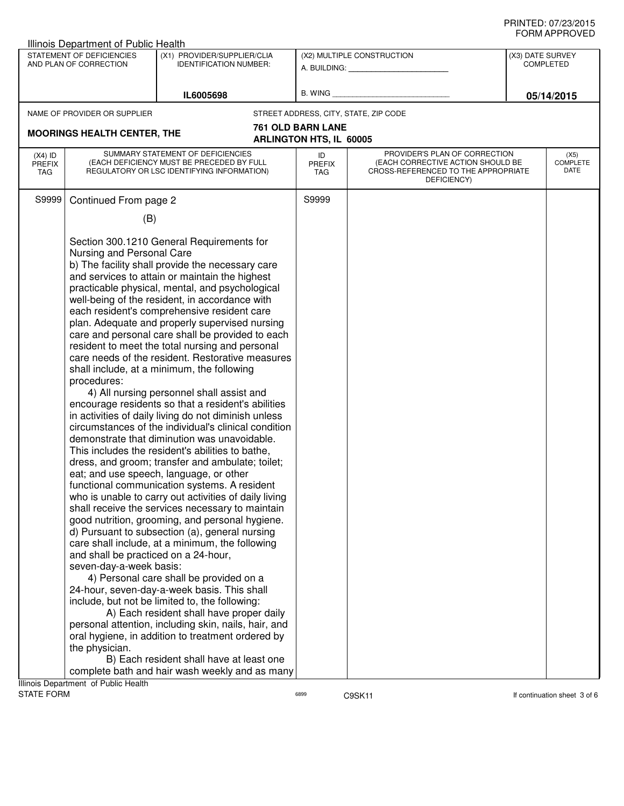| ᅴᄖᄞᇊᆝᆝᇅ៴ᄂ<br>Illinois Department of Public Health                                                                   |                                                                                                                                                                                                                                                                                                                                                                                                                                                                                                                                                                                                                                                                                                                                                                                                                                                                                                                                                                                                                                                                                                                                                                                                                                                                                                                                                                                                                                                                                                                                                                                                                                                                                                                                                                                                                                                                                                                                                                              |                                                                                |                                                            |                                                                                                                          |  |                                 |
|---------------------------------------------------------------------------------------------------------------------|------------------------------------------------------------------------------------------------------------------------------------------------------------------------------------------------------------------------------------------------------------------------------------------------------------------------------------------------------------------------------------------------------------------------------------------------------------------------------------------------------------------------------------------------------------------------------------------------------------------------------------------------------------------------------------------------------------------------------------------------------------------------------------------------------------------------------------------------------------------------------------------------------------------------------------------------------------------------------------------------------------------------------------------------------------------------------------------------------------------------------------------------------------------------------------------------------------------------------------------------------------------------------------------------------------------------------------------------------------------------------------------------------------------------------------------------------------------------------------------------------------------------------------------------------------------------------------------------------------------------------------------------------------------------------------------------------------------------------------------------------------------------------------------------------------------------------------------------------------------------------------------------------------------------------------------------------------------------------|--------------------------------------------------------------------------------|------------------------------------------------------------|--------------------------------------------------------------------------------------------------------------------------|--|---------------------------------|
| STATEMENT OF DEFICIENCIES<br>(X1) PROVIDER/SUPPLIER/CLIA<br>AND PLAN OF CORRECTION<br><b>IDENTIFICATION NUMBER:</b> |                                                                                                                                                                                                                                                                                                                                                                                                                                                                                                                                                                                                                                                                                                                                                                                                                                                                                                                                                                                                                                                                                                                                                                                                                                                                                                                                                                                                                                                                                                                                                                                                                                                                                                                                                                                                                                                                                                                                                                              | (X2) MULTIPLE CONSTRUCTION<br>A. BUILDING: A. BUILDING:                        |                                                            | (X3) DATE SURVEY<br><b>COMPLETED</b>                                                                                     |  |                                 |
| IL6005698                                                                                                           |                                                                                                                                                                                                                                                                                                                                                                                                                                                                                                                                                                                                                                                                                                                                                                                                                                                                                                                                                                                                                                                                                                                                                                                                                                                                                                                                                                                                                                                                                                                                                                                                                                                                                                                                                                                                                                                                                                                                                                              | B. WING                                                                        |                                                            | 05/14/2015                                                                                                               |  |                                 |
|                                                                                                                     | NAME OF PROVIDER OR SUPPLIER                                                                                                                                                                                                                                                                                                                                                                                                                                                                                                                                                                                                                                                                                                                                                                                                                                                                                                                                                                                                                                                                                                                                                                                                                                                                                                                                                                                                                                                                                                                                                                                                                                                                                                                                                                                                                                                                                                                                                 |                                                                                |                                                            | STREET ADDRESS, CITY, STATE, ZIP CODE                                                                                    |  |                                 |
|                                                                                                                     | <b>MOORINGS HEALTH CENTER, THE</b>                                                                                                                                                                                                                                                                                                                                                                                                                                                                                                                                                                                                                                                                                                                                                                                                                                                                                                                                                                                                                                                                                                                                                                                                                                                                                                                                                                                                                                                                                                                                                                                                                                                                                                                                                                                                                                                                                                                                           |                                                                                | <b>761 OLD BARN LANE</b><br><b>ARLINGTON HTS, IL 60005</b> |                                                                                                                          |  |                                 |
| $(X4)$ ID<br><b>PREFIX</b><br>TAG                                                                                   |                                                                                                                                                                                                                                                                                                                                                                                                                                                                                                                                                                                                                                                                                                                                                                                                                                                                                                                                                                                                                                                                                                                                                                                                                                                                                                                                                                                                                                                                                                                                                                                                                                                                                                                                                                                                                                                                                                                                                                              | SUMMARY STATEMENT OF DEFICIENCIES<br>(EACH DEFICIENCY MUST BE PRECEDED BY FULL | ID<br><b>PREFIX</b><br>TAG                                 | PROVIDER'S PLAN OF CORRECTION<br>(EACH CORRECTIVE ACTION SHOULD BE<br>CROSS-REFERENCED TO THE APPROPRIATE<br>DEFICIENCY) |  | (X5)<br><b>COMPLETE</b><br>DATE |
|                                                                                                                     |                                                                                                                                                                                                                                                                                                                                                                                                                                                                                                                                                                                                                                                                                                                                                                                                                                                                                                                                                                                                                                                                                                                                                                                                                                                                                                                                                                                                                                                                                                                                                                                                                                                                                                                                                                                                                                                                                                                                                                              |                                                                                | S9999                                                      |                                                                                                                          |  |                                 |
|                                                                                                                     |                                                                                                                                                                                                                                                                                                                                                                                                                                                                                                                                                                                                                                                                                                                                                                                                                                                                                                                                                                                                                                                                                                                                                                                                                                                                                                                                                                                                                                                                                                                                                                                                                                                                                                                                                                                                                                                                                                                                                                              |                                                                                |                                                            |                                                                                                                          |  |                                 |
|                                                                                                                     | REGULATORY OR LSC IDENTIFYING INFORMATION)<br>Continued From page 2<br>S9999<br>(B)<br>Section 300.1210 General Requirements for<br>Nursing and Personal Care<br>b) The facility shall provide the necessary care<br>and services to attain or maintain the highest<br>practicable physical, mental, and psychological<br>well-being of the resident, in accordance with<br>each resident's comprehensive resident care<br>plan. Adequate and properly supervised nursing<br>care and personal care shall be provided to each<br>resident to meet the total nursing and personal<br>care needs of the resident. Restorative measures<br>shall include, at a minimum, the following<br>procedures:<br>4) All nursing personnel shall assist and<br>encourage residents so that a resident's abilities<br>in activities of daily living do not diminish unless<br>circumstances of the individual's clinical condition<br>demonstrate that diminution was unavoidable.<br>This includes the resident's abilities to bathe,<br>dress, and groom; transfer and ambulate; toilet;<br>eat; and use speech, language, or other<br>functional communication systems. A resident<br>who is unable to carry out activities of daily living<br>shall receive the services necessary to maintain<br>good nutrition, grooming, and personal hygiene.<br>d) Pursuant to subsection (a), general nursing<br>care shall include, at a minimum, the following<br>and shall be practiced on a 24-hour,<br>seven-day-a-week basis:<br>4) Personal care shall be provided on a<br>24-hour, seven-day-a-week basis. This shall<br>include, but not be limited to, the following:<br>A) Each resident shall have proper daily<br>personal attention, including skin, nails, hair, and<br>oral hygiene, in addition to treatment ordered by<br>the physician.<br>B) Each resident shall have at least one<br>complete bath and hair wash weekly and as many<br>Illinois Department of Public Health |                                                                                |                                                            |                                                                                                                          |  |                                 |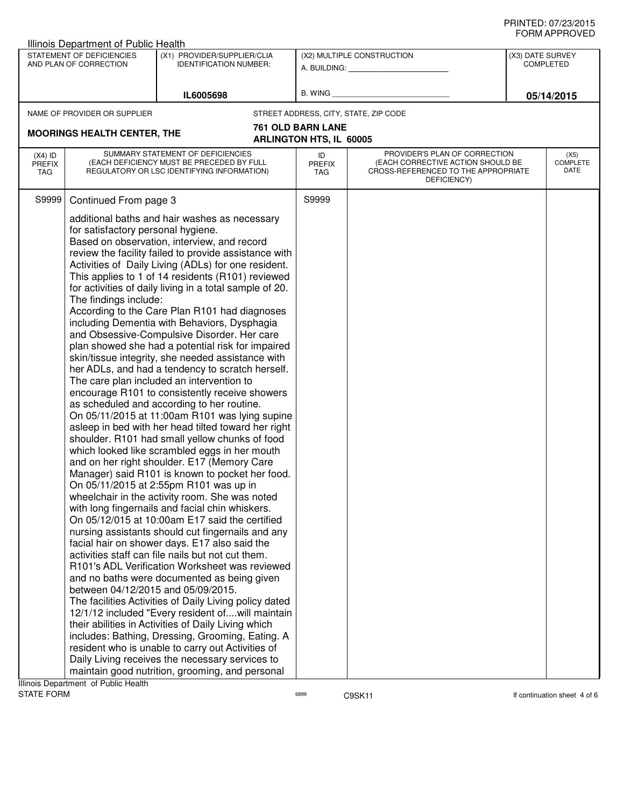| Illinois Department of Public Health                                                                                             |                                                                                                   |                                                                                                                                                                                                                                                                                                                                                                                                                                                                                                                                                                                                                                                                                                                                                                                                                                                                                                                                                                                                                                                                                                                                                                                                                                                                                                                                                                                                                                                                                                                                                                                                                                                                                                                                                                                                                                                                                                     |                                                     |                                                                                                                          |                  |                                 |  |
|----------------------------------------------------------------------------------------------------------------------------------|---------------------------------------------------------------------------------------------------|-----------------------------------------------------------------------------------------------------------------------------------------------------------------------------------------------------------------------------------------------------------------------------------------------------------------------------------------------------------------------------------------------------------------------------------------------------------------------------------------------------------------------------------------------------------------------------------------------------------------------------------------------------------------------------------------------------------------------------------------------------------------------------------------------------------------------------------------------------------------------------------------------------------------------------------------------------------------------------------------------------------------------------------------------------------------------------------------------------------------------------------------------------------------------------------------------------------------------------------------------------------------------------------------------------------------------------------------------------------------------------------------------------------------------------------------------------------------------------------------------------------------------------------------------------------------------------------------------------------------------------------------------------------------------------------------------------------------------------------------------------------------------------------------------------------------------------------------------------------------------------------------------------|-----------------------------------------------------|--------------------------------------------------------------------------------------------------------------------------|------------------|---------------------------------|--|
| STATEMENT OF DEFICIENCIES<br>(X1) PROVIDER/SUPPLIER/CLIA<br>AND PLAN OF CORRECTION<br><b>IDENTIFICATION NUMBER:</b><br>IL6005698 |                                                                                                   |                                                                                                                                                                                                                                                                                                                                                                                                                                                                                                                                                                                                                                                                                                                                                                                                                                                                                                                                                                                                                                                                                                                                                                                                                                                                                                                                                                                                                                                                                                                                                                                                                                                                                                                                                                                                                                                                                                     |                                                     | (X2) MULTIPLE CONSTRUCTION<br>A. BUILDING: A.                                                                            | (X3) DATE SURVEY | <b>COMPLETED</b>                |  |
|                                                                                                                                  |                                                                                                   | B. WING                                                                                                                                                                                                                                                                                                                                                                                                                                                                                                                                                                                                                                                                                                                                                                                                                                                                                                                                                                                                                                                                                                                                                                                                                                                                                                                                                                                                                                                                                                                                                                                                                                                                                                                                                                                                                                                                                             |                                                     | 05/14/2015                                                                                                               |                  |                                 |  |
|                                                                                                                                  | NAME OF PROVIDER OR SUPPLIER                                                                      |                                                                                                                                                                                                                                                                                                                                                                                                                                                                                                                                                                                                                                                                                                                                                                                                                                                                                                                                                                                                                                                                                                                                                                                                                                                                                                                                                                                                                                                                                                                                                                                                                                                                                                                                                                                                                                                                                                     |                                                     | STREET ADDRESS, CITY, STATE, ZIP CODE                                                                                    |                  |                                 |  |
|                                                                                                                                  | <b>MOORINGS HEALTH CENTER, THE</b>                                                                |                                                                                                                                                                                                                                                                                                                                                                                                                                                                                                                                                                                                                                                                                                                                                                                                                                                                                                                                                                                                                                                                                                                                                                                                                                                                                                                                                                                                                                                                                                                                                                                                                                                                                                                                                                                                                                                                                                     | 761 OLD BARN LANE<br><b>ARLINGTON HTS, IL 60005</b> |                                                                                                                          |                  |                                 |  |
|                                                                                                                                  |                                                                                                   |                                                                                                                                                                                                                                                                                                                                                                                                                                                                                                                                                                                                                                                                                                                                                                                                                                                                                                                                                                                                                                                                                                                                                                                                                                                                                                                                                                                                                                                                                                                                                                                                                                                                                                                                                                                                                                                                                                     |                                                     |                                                                                                                          |                  |                                 |  |
| $(X4)$ ID<br><b>PREFIX</b><br>TAG                                                                                                |                                                                                                   | SUMMARY STATEMENT OF DEFICIENCIES<br>(EACH DEFICIENCY MUST BE PRECEDED BY FULL<br>REGULATORY OR LSC IDENTIFYING INFORMATION)                                                                                                                                                                                                                                                                                                                                                                                                                                                                                                                                                                                                                                                                                                                                                                                                                                                                                                                                                                                                                                                                                                                                                                                                                                                                                                                                                                                                                                                                                                                                                                                                                                                                                                                                                                        | ID<br><b>PREFIX</b><br>TAG                          | PROVIDER'S PLAN OF CORRECTION<br>(EACH CORRECTIVE ACTION SHOULD BE<br>CROSS-REFERENCED TO THE APPROPRIATE<br>DEFICIENCY) |                  | (X5)<br><b>COMPLETE</b><br>DATE |  |
| S9999                                                                                                                            | Continued From page 3                                                                             |                                                                                                                                                                                                                                                                                                                                                                                                                                                                                                                                                                                                                                                                                                                                                                                                                                                                                                                                                                                                                                                                                                                                                                                                                                                                                                                                                                                                                                                                                                                                                                                                                                                                                                                                                                                                                                                                                                     | S9999                                               |                                                                                                                          |                  |                                 |  |
|                                                                                                                                  | for satisfactory personal hygiene.<br>The findings include:<br>between 04/12/2015 and 05/09/2015. | additional baths and hair washes as necessary<br>Based on observation, interview, and record<br>review the facility failed to provide assistance with<br>Activities of Daily Living (ADLs) for one resident.<br>This applies to 1 of 14 residents (R101) reviewed<br>for activities of daily living in a total sample of 20.<br>According to the Care Plan R101 had diagnoses<br>including Dementia with Behaviors, Dysphagia<br>and Obsessive-Compulsive Disorder. Her care<br>plan showed she had a potential risk for impaired<br>skin/tissue integrity, she needed assistance with<br>her ADLs, and had a tendency to scratch herself.<br>The care plan included an intervention to<br>encourage R101 to consistently receive showers<br>as scheduled and according to her routine.<br>On 05/11/2015 at 11:00am R101 was lying supine<br>asleep in bed with her head tilted toward her right<br>shoulder. R101 had small yellow chunks of food<br>which looked like scrambled eggs in her mouth<br>and on her right shoulder. E17 (Memory Care<br>Manager) said R101 is known to pocket her food.<br>On 05/11/2015 at 2:55pm R101 was up in<br>wheelchair in the activity room. She was noted<br>with long fingernails and facial chin whiskers.<br>On 05/12/015 at 10:00am E17 said the certified<br>nursing assistants should cut fingernails and any<br>facial hair on shower days. E17 also said the<br>activities staff can file nails but not cut them.<br>R101's ADL Verification Worksheet was reviewed<br>and no baths were documented as being given<br>The facilities Activities of Daily Living policy dated<br>12/1/12 included "Every resident ofwill maintain<br>their abilities in Activities of Daily Living which<br>includes: Bathing, Dressing, Grooming, Eating. A<br>resident who is unable to carry out Activities of<br>Daily Living receives the necessary services to |                                                     |                                                                                                                          |                  |                                 |  |
|                                                                                                                                  |                                                                                                   | maintain good nutrition, grooming, and personal                                                                                                                                                                                                                                                                                                                                                                                                                                                                                                                                                                                                                                                                                                                                                                                                                                                                                                                                                                                                                                                                                                                                                                                                                                                                                                                                                                                                                                                                                                                                                                                                                                                                                                                                                                                                                                                     |                                                     |                                                                                                                          |                  |                                 |  |
|                                                                                                                                  | Illinois Department of Public Health                                                              |                                                                                                                                                                                                                                                                                                                                                                                                                                                                                                                                                                                                                                                                                                                                                                                                                                                                                                                                                                                                                                                                                                                                                                                                                                                                                                                                                                                                                                                                                                                                                                                                                                                                                                                                                                                                                                                                                                     |                                                     |                                                                                                                          |                  |                                 |  |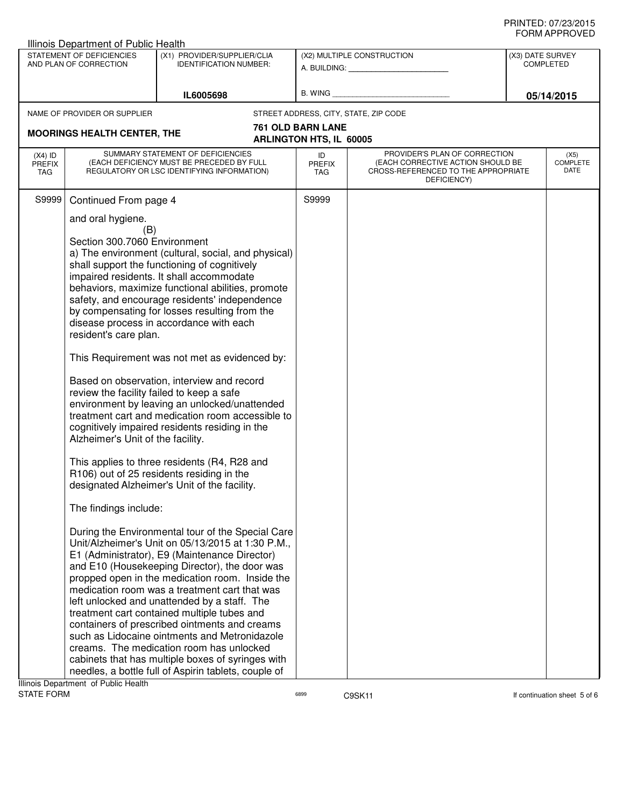|                                                                                                                     | Illinois Department of Public Health                                                                                                                                                                                                                                                                                                                                                                                                                                                                                                                                                                                                                                                                                                                                                                                                                                                                                                                                                                                                                                                                                                                                                                                                                                                                                                                                                                                                                                                                                                                                                                                                                                                                                                                                                                    |  |                     |                                                                                         |                                      | <b>JI UVI AI I I IV</b> V L D   |
|---------------------------------------------------------------------------------------------------------------------|---------------------------------------------------------------------------------------------------------------------------------------------------------------------------------------------------------------------------------------------------------------------------------------------------------------------------------------------------------------------------------------------------------------------------------------------------------------------------------------------------------------------------------------------------------------------------------------------------------------------------------------------------------------------------------------------------------------------------------------------------------------------------------------------------------------------------------------------------------------------------------------------------------------------------------------------------------------------------------------------------------------------------------------------------------------------------------------------------------------------------------------------------------------------------------------------------------------------------------------------------------------------------------------------------------------------------------------------------------------------------------------------------------------------------------------------------------------------------------------------------------------------------------------------------------------------------------------------------------------------------------------------------------------------------------------------------------------------------------------------------------------------------------------------------------|--|---------------------|-----------------------------------------------------------------------------------------|--------------------------------------|---------------------------------|
| STATEMENT OF DEFICIENCIES<br>(X1) PROVIDER/SUPPLIER/CLIA<br>AND PLAN OF CORRECTION<br><b>IDENTIFICATION NUMBER:</b> |                                                                                                                                                                                                                                                                                                                                                                                                                                                                                                                                                                                                                                                                                                                                                                                                                                                                                                                                                                                                                                                                                                                                                                                                                                                                                                                                                                                                                                                                                                                                                                                                                                                                                                                                                                                                         |  |                     | (X2) MULTIPLE CONSTRUCTION<br>A. BUILDING: <u>_________________</u> ______              | (X3) DATE SURVEY<br><b>COMPLETED</b> |                                 |
|                                                                                                                     | IL6005698                                                                                                                                                                                                                                                                                                                                                                                                                                                                                                                                                                                                                                                                                                                                                                                                                                                                                                                                                                                                                                                                                                                                                                                                                                                                                                                                                                                                                                                                                                                                                                                                                                                                                                                                                                                               |  |                     |                                                                                         | 05/14/2015                           |                                 |
|                                                                                                                     | NAME OF PROVIDER OR SUPPLIER                                                                                                                                                                                                                                                                                                                                                                                                                                                                                                                                                                                                                                                                                                                                                                                                                                                                                                                                                                                                                                                                                                                                                                                                                                                                                                                                                                                                                                                                                                                                                                                                                                                                                                                                                                            |  |                     | STREET ADDRESS, CITY, STATE, ZIP CODE                                                   |                                      |                                 |
|                                                                                                                     |                                                                                                                                                                                                                                                                                                                                                                                                                                                                                                                                                                                                                                                                                                                                                                                                                                                                                                                                                                                                                                                                                                                                                                                                                                                                                                                                                                                                                                                                                                                                                                                                                                                                                                                                                                                                         |  | 761 OLD BARN LANE   |                                                                                         |                                      |                                 |
|                                                                                                                     |                                                                                                                                                                                                                                                                                                                                                                                                                                                                                                                                                                                                                                                                                                                                                                                                                                                                                                                                                                                                                                                                                                                                                                                                                                                                                                                                                                                                                                                                                                                                                                                                                                                                                                                                                                                                         |  |                     | PROVIDER'S PLAN OF CORRECTION                                                           |                                      |                                 |
| $(X4)$ ID<br><b>PREFIX</b><br>TAG                                                                                   |                                                                                                                                                                                                                                                                                                                                                                                                                                                                                                                                                                                                                                                                                                                                                                                                                                                                                                                                                                                                                                                                                                                                                                                                                                                                                                                                                                                                                                                                                                                                                                                                                                                                                                                                                                                                         |  | ID<br>PREFIX<br>TAG | (EACH CORRECTIVE ACTION SHOULD BE<br>CROSS-REFERENCED TO THE APPROPRIATE<br>DEFICIENCY) |                                      | (X5)<br><b>COMPLETE</b><br>DATE |
| S9999                                                                                                               |                                                                                                                                                                                                                                                                                                                                                                                                                                                                                                                                                                                                                                                                                                                                                                                                                                                                                                                                                                                                                                                                                                                                                                                                                                                                                                                                                                                                                                                                                                                                                                                                                                                                                                                                                                                                         |  | S9999               |                                                                                         |                                      |                                 |
|                                                                                                                     | <b>MOORINGS HEALTH CENTER, THE</b><br><b>ARLINGTON HTS, IL 60005</b><br>SUMMARY STATEMENT OF DEFICIENCIES<br>(EACH DEFICIENCY MUST BE PRECEDED BY FULL<br>REGULATORY OR LSC IDENTIFYING INFORMATION)<br>Continued From page 4<br>and oral hygiene.<br>(B)<br>Section 300.7060 Environment<br>a) The environment (cultural, social, and physical)<br>shall support the functioning of cognitively<br>impaired residents. It shall accommodate<br>behaviors, maximize functional abilities, promote<br>safety, and encourage residents' independence<br>by compensating for losses resulting from the<br>disease process in accordance with each<br>resident's care plan.<br>This Requirement was not met as evidenced by:<br>Based on observation, interview and record<br>review the facility failed to keep a safe<br>environment by leaving an unlocked/unattended<br>treatment cart and medication room accessible to<br>cognitively impaired residents residing in the<br>Alzheimer's Unit of the facility.<br>This applies to three residents (R4, R28 and<br>R106) out of 25 residents residing in the<br>designated Alzheimer's Unit of the facility.<br>The findings include:<br>During the Environmental tour of the Special Care<br>Unit/Alzheimer's Unit on 05/13/2015 at 1:30 P.M.,<br>E1 (Administrator), E9 (Maintenance Director)<br>and E10 (Housekeeping Director), the door was<br>propped open in the medication room. Inside the<br>medication room was a treatment cart that was<br>left unlocked and unattended by a staff. The<br>treatment cart contained multiple tubes and<br>containers of prescribed ointments and creams<br>such as Lidocaine ointments and Metronidazole<br>creams. The medication room has unlocked<br>cabinets that has multiple boxes of syringes with |  |                     |                                                                                         |                                      |                                 |